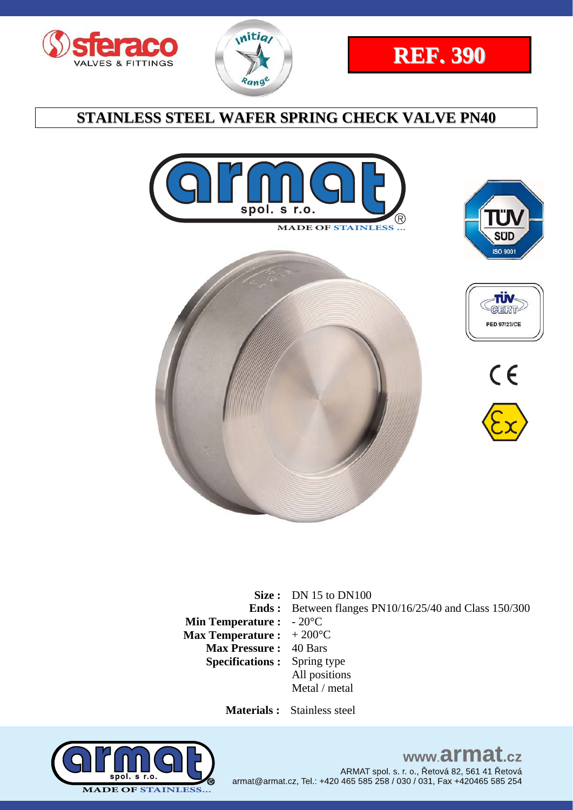















**Size :** DN 15 to DN100 **Ends : Min Temperature : Max Temperature :**  + 200°C Between flanges PN10/16/25/40 and Class 150/300  $-20^{\circ}$ C **Max Pressure :** 40 Bars **Specifications :** Spring type All positions Metal / metal

 **Materials :** Stainless steel



www.armat.cz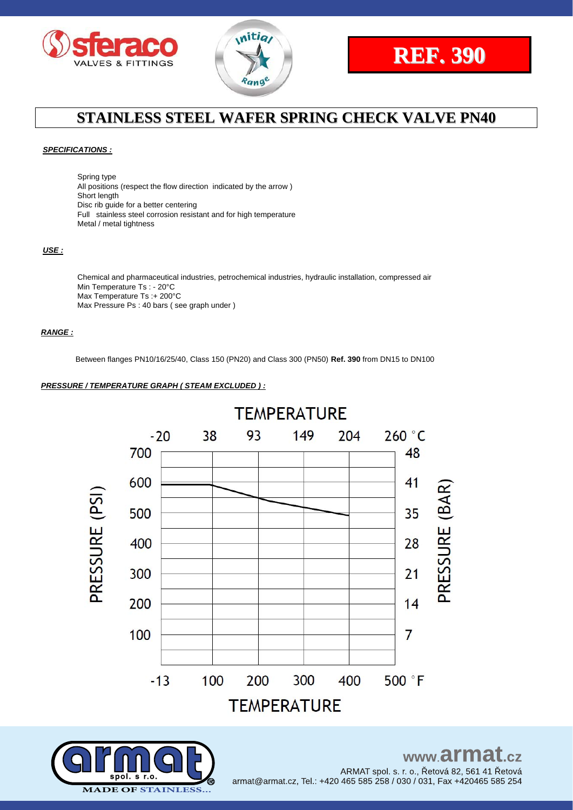





### *SPECIFICATIONS :*

Spring type All positions (respect the flow direction indicated by the arrow ) Short length Disc rib guide for a better centering Full stainless steel corrosion resistant and for high temperature Metal / metal tightness

#### *USE :*

Chemical and pharmaceutical industries, petrochemical industries, hydraulic installation, compressed air Min Temperature Ts : - 20°C Max Temperature Ts :+ 200°C Max Pressure Ps : 40 bars ( see graph under )

#### *RANGE :*

Between flanges PN10/16/25/40, Class 150 (PN20) and Class 300 (PN50) **Ref. 390** from DN15 to DN100

### *PRESSURE / TEMPERATURE GRAPH ( STEAM EXCLUDED ) :*



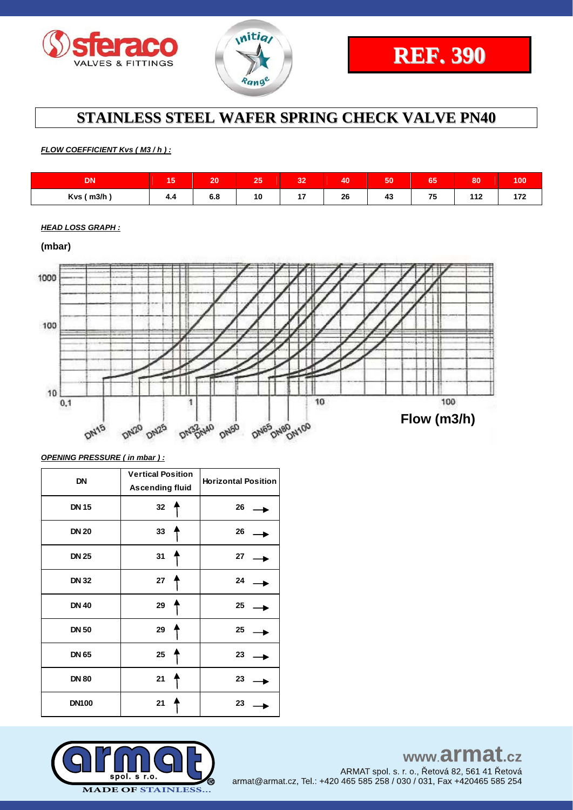



*FLOW COEFFICIENT Kvs ( M3 / h ) :*

| <b>DATE</b><br>ιUΝ | $\overline{a}$<br>15 | 20         | っぷ<br>7407   | $\mathbf{A}$<br>- 2 | 40           | 50                | $\sim$ $\sim$<br>166 | 80  | 100 |
|--------------------|----------------------|------------|--------------|---------------------|--------------|-------------------|----------------------|-----|-----|
| Kvs (m3/h)         | . .<br>4.4           | e o<br>o.o | 10<br>$\sim$ | . .<br>. .          | 26<br>$\sim$ | $\mathbf{A}$<br>∼ | 75<br>1 V<br>$\sim$  | 449 | .   |

*HEAD LOSS GRAPH :*



*OPENING PRESSURE ( in mbar ) :*

| <b>DN</b>    | <b>Vertical Position</b><br><b>Ascending fluid</b> | <b>Horizontal Position</b> |
|--------------|----------------------------------------------------|----------------------------|
| <b>DN 15</b> | 32                                                 | 26                         |
| <b>DN 20</b> | 33                                                 | 26                         |
| <b>DN 25</b> | 31                                                 | 27                         |
| <b>DN 32</b> | 27                                                 | 24                         |
| <b>DN 40</b> | 29                                                 | 25                         |
| <b>DN 50</b> | 29                                                 | 25                         |
| <b>DN 65</b> | 25                                                 | 23                         |
| <b>DN 80</b> | 21                                                 | 23                         |
| <b>DN100</b> | 21                                                 | 23                         |

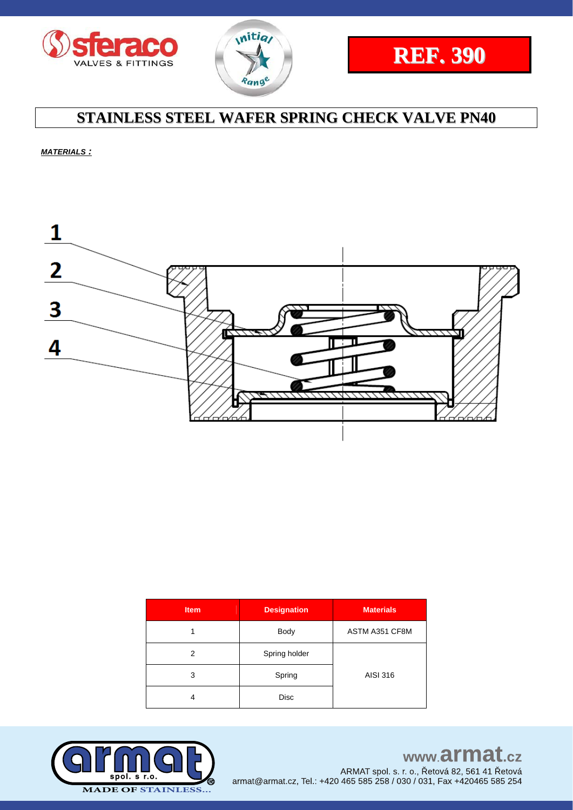





*MATERIALS :*



| <b>Item</b> | <b>Designation</b> | <b>Materials</b> |  |  |
|-------------|--------------------|------------------|--|--|
|             | <b>Body</b>        | ASTM A351 CF8M   |  |  |
| 2           | Spring holder      |                  |  |  |
| 3           | Spring             | AISI 316         |  |  |
| 4           | Disc               |                  |  |  |



www.armat.cz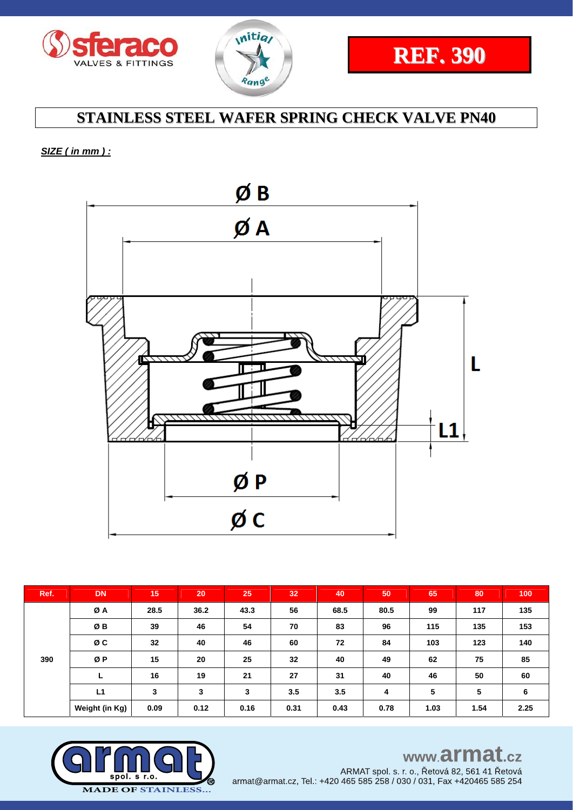



### *SIZE ( in mm ) :*



| Ref. | <b>DN</b>      | 15   | 20   | 25   | 32   | 40   | 50   | 65   | 80   | 100  |
|------|----------------|------|------|------|------|------|------|------|------|------|
| 390  | ØA             | 28.5 | 36.2 | 43.3 | 56   | 68.5 | 80.5 | 99   | 117  | 135  |
|      | ØΒ             | 39   | 46   | 54   | 70   | 83   | 96   | 115  | 135  | 153  |
|      | øс             | 32   | 40   | 46   | 60   | 72   | 84   | 103  | 123  | 140  |
|      | ØP             | 15   | 20   | 25   | 32   | 40   | 49   | 62   | 75   | 85   |
|      | ┗              | 16   | 19   | 21   | 27   | 31   | 40   | 46   | 50   | 60   |
|      | L1             | 3    | 3    | 3    | 3.5  | 3.5  | 4    | 5    | 5    | 6    |
|      | Weight (in Kg) | 0.09 | 0.12 | 0.16 | 0.31 | 0.43 | 0.78 | 1.03 | 1.54 | 2.25 |



## www.armat.cz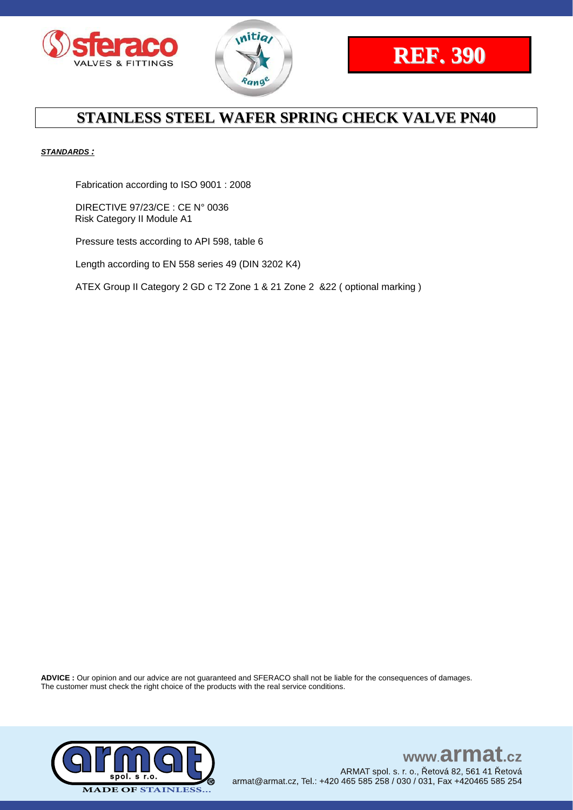





### *STANDARDS :*

Fabrication according to ISO 9001 : 2008

DIRECTIVE 97/23/CE : CE N° 0036 Risk Category II Module A1

Pressure tests according to API 598, table 6

Length according to EN 558 series 49 (DIN 3202 K4)

ATEX Group II Category 2 GD c T2 Zone 1 & 21 Zone 2 &22 ( optional marking )

**ADVICE :** Our opinion and our advice are not guaranteed and SFERACO shall not be liable for the consequences of damages. The customer must check the right choice of the products with the real service conditions.